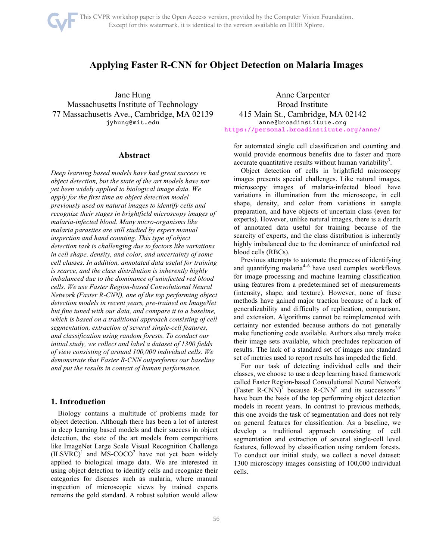# **Applying Faster R-CNN for Object Detection on Malaria Images**

Jane Hung Massachusetts Institute of Technology 77 Massachusetts Ave., Cambridge, MA 02139 jyhung@mit.edu

# **Abstract**

*Deep learning based models have had great success in object detection, but the state of the art models have not yet been widely applied to biological image data. We apply for the first time an object detection model previously used on natural images to identify cells and recognize their stages in brightfield microscopy images of malaria-infected blood. Many micro-organisms like malaria parasites are still studied by expert manual inspection and hand counting. This type of object detection task is challenging due to factors like variations in cell shape, density, and color, and uncertainty of some cell classes. In addition, annotated data useful for training is scarce, and the class distribution is inherently highly imbalanced due to the dominance of uninfected red blood cells. We use Faster Region-based Convolutional Neural Network (Faster R-CNN), one of the top performing object detection models in recent years, pre-trained on ImageNet but fine tuned with our data, and compare it to a baseline, which is based on a traditional approach consisting of cell segmentation, extraction of several single-cell features, and classification using random forests. To conduct our initial study, we collect and label a dataset of 1300 fields of view consisting of around 100,000 individual cells. We demonstrate that Faster R-CNN outperforms our baseline and put the results in context of human performance.*

# **1. Introduction**

Biology contains a multitude of problems made for object detection. Although there has been a lot of interest in deep learning based models and their success in object detection, the state of the art models from competitions like ImageNet Large Scale Visual Recognition Challenge  $(ILSVRC)^1$  and MS-COCO<sup>2</sup> have not yet been widely applied to biological image data. We are interested in using object detection to identify cells and recognize their categories for diseases such as malaria, where manual inspection of microscopic views by trained experts remains the gold standard. A robust solution would allow

Anne Carpenter Broad Institute 415 Main St., Cambridge, MA 02142 anne@broadinstitute.org https://personal.broadinstitute.org/anne/

for automated single cell classification and counting and would provide enormous benefits due to faster and more accurate quantitative results without human variability<sup>3</sup>.

Object detection of cells in brightfield microscopy images presents special challenges. Like natural images, microscopy images of malaria-infected blood have variations in illumination from the microscope, in cell shape, density, and color from variations in sample preparation, and have objects of uncertain class (even for experts). However, unlike natural images, there is a dearth of annotated data useful for training because of the scarcity of experts, and the class distribution is inherently highly imbalanced due to the dominance of uninfected red blood cells (RBCs).

Previous attempts to automate the process of identifying and quantifying malaria $4-6$  have used complex workflows for image processing and machine learning classification using features from a predetermined set of measurements (intensity, shape, and texture). However, none of these methods have gained major traction because of a lack of generalizability and difficulty of replication, comparison, and extension. Algorithms cannot be reimplemented with certainty nor extended because authors do not generally make functioning code available. Authors also rarely make their image sets available, which precludes replication of results. The lack of a standard set of images nor standard set of metrics used to report results has impeded the field.

For our task of detecting individual cells and their classes, we choose to use a deep learning based framework called Faster Region-based Convolutional Neural Network (Faster R-CNN)<sup>7</sup> because R-CNN<sup>8</sup> and its successors<sup>7,9</sup> have been the basis of the top performing object detection models in recent years. In contrast to previous methods, this one avoids the task of segmentation and does not rely on general features for classification. As a baseline, we develop a traditional approach consisting of cell segmentation and extraction of several single-cell level features, followed by classification using random forests. To conduct our initial study, we collect a novel dataset: 1300 microscopy images consisting of 100,000 individual cells.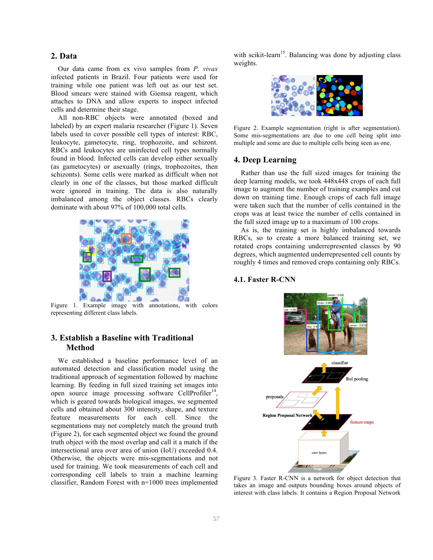# **2. Data**

Our data came from ex vivo samples from *P. vivax* infected patients in Brazil. Four patients were used for training while one patient was left out as our test set. Blood smears were stained with Giemsa reagent, which attaches to DNA and allow experts to inspect infected cells and determine their stage.

All non-RBC objects were annotated (boxed and labeled) by an expert malaria researcher (Figure 1). Seven labels used to cover possible cell types of interest: RBC, leukocyte, gametocyte, ring, trophozoite, and schizont. RBCs and leukocytes are uninfected cell types normally found in blood. Infected cells can develop either sexually (as gametocytes) or asexually (rings, trophozoites, then schizonts). Some cells were marked as difficult when not clearly in one of the classes, but those marked difficult were ignored in training. The data is also naturally imbalanced among the object classes. RBCs clearly dominate with about 97% of 100,000 total cells.



Figure 1. Example image with annotations, with colors representing different class labels.

# **3. Establish a Baseline with Traditional Method**

We established a baseline performance level of an automated detection and classification model using the traditional approach of segmentation followed by machine learning. By feeding in full sized training set images into open source image processing software CellProfiler<sup>14</sup>, which is geared towards biological images, we segmented cells and obtained about 300 intensity, shape, and texture feature measurements for each cell. Since the segmentations may not completely match the ground truth (Figure 2), for each segmented object we found the ground truth object with the most overlap and call it a match if the intersectional area over area of union (IoU) exceeded 0.4. Otherwise, the objects were mis-segmentations and not used for training. We took measurements of each cell and corresponding cell labels to train a machine learning classifier, Random Forest with n=1000 trees implemented

with scikit-learn<sup>15</sup>. Balancing was done by adjusting class weights.



Figure 2. Example segmentation (right is after segmentation). Some mis-segmentations are due to one cell being split into multiple and some are due to multiple cells being seen as one.

## **4. Deep Learning**

Rather than use the full sized images for training the deep learning models, we took 448x448 crops of each full image to augment the number of training examples and cut down on training time. Enough crops of each full image were taken such that the number of cells contained in the crops was at least twice the number of cells contained in the full sized image up to a maximum of 100 crops.

As is, the training set is highly imbalanced towards RBCs, so to create a more balanced training set, we rotated crops containing underrepresented classes by 90 degrees, which augmented underrepresented cell counts by roughly 4 times and removed crops containing only RBCs.

## **4.1. Faster R-CNN**



Figure 3. Faster R-CNN is a network for object detection that takes an image and outputs bounding boxes around objects of interest with class labels. It contains a Region Proposal Network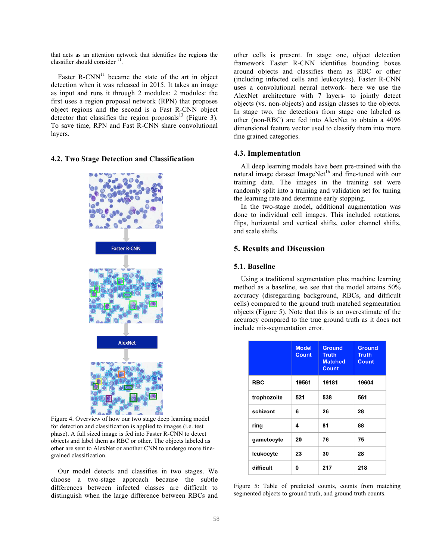that acts as an attention network that identifies the regions the classifier should consider  $11$ .

Faster  $R$ -CNN<sup>11</sup> became the state of the art in object detection when it was released in 2015. It takes an image as input and runs it through 2 modules: 2 modules: the first uses a region proposal network (RPN) that proposes object regions and the second is a Fast R-CNN object detector that classifies the region proposals $^{13}$  (Figure 3). To save time, RPN and Fast R-CNN share convolutional layers.

#### **4.2. Two Stage Detection and Classification**



Figure 4. Overview of how our two stage deep learning model for detection and classification is applied to images (i.e. test phase). A full sized image is fed into Faster R-CNN to detect objects and label them as RBC or other. The objects labeled as other are sent to AlexNet or another CNN to undergo more finegrained classification.

Our model detects and classifies in two stages. We choose a two-stage approach because the subtle differences between infected classes are difficult to distinguish when the large difference between RBCs and other cells is present. In stage one, object detection framework Faster R-CNN identifies bounding boxes around objects and classifies them as RBC or other (including infected cells and leukocytes). Faster R-CNN uses a convolutional neural network- here we use the AlexNet architecture with 7 layers- to jointly detect objects (vs. non-objects) and assign classes to the objects. In stage two, the detections from stage one labeled as other (non-RBC) are fed into AlexNet to obtain a 4096 dimensional feature vector used to classify them into more fine grained categories.

## **4.3. Implementation**

All deep learning models have been pre-trained with the natural image dataset ImageNet<sup>16</sup> and fine-tuned with our training data. The images in the training set were randomly split into a training and validation set for tuning the learning rate and determine early stopping.

In the two-stage model, additional augmentation was done to individual cell images. This included rotations, flips, horizontal and vertical shifts, color channel shifts, and scale shifts.

# **5. Results and Discussion**

#### **5.1. Baseline**

Using a traditional segmentation plus machine learning method as a baseline, we see that the model attains 50% accuracy (disregarding background, RBCs, and difficult cells) compared to the ground truth matched segmentation objects (Figure 5). Note that this is an overestimate of the accuracy compared to the true ground truth as it does not include mis-segmentation error.

|             | <b>Model</b><br><b>Count</b> | <b>Ground</b><br><b>Truth</b><br><b>Matched</b><br><b>Count</b> | <b>Ground</b><br><b>Truth</b><br><b>Count</b> |
|-------------|------------------------------|-----------------------------------------------------------------|-----------------------------------------------|
| <b>RBC</b>  | 19561                        | 19181                                                           | 19604                                         |
| trophozoite | 521                          | 538                                                             | 561                                           |
| schizont    | 6                            | 26                                                              | 28                                            |
| ring        | 4                            | 81                                                              | 88                                            |
| gametocyte  | 20                           | 76                                                              | 75                                            |
| leukocyte   | 23                           | 30                                                              | 28                                            |
| difficult   | 0                            | 217                                                             | 218                                           |

Figure 5: Table of predicted counts, counts from matching segmented objects to ground truth, and ground truth counts.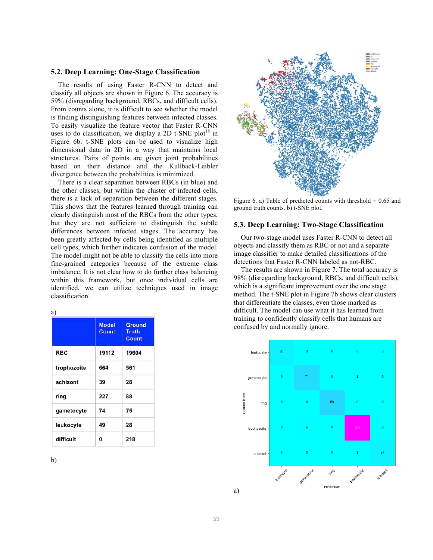#### **5.2. Deep Learning: One-Stage Classification**

The results of using Faster R-CNN to detect and classify all objects are shown in Figure 6. The accuracy is 59% (disregarding background, RBCs, and difficult cells). From counts alone, it is difficult to see whether the model is finding distinguishing features between infected classes. To easily visualize the feature vector that Faster R-CNN uses to do classification, we display a 2D t-SNE plot<sup>18</sup> in Figure 6b. t-SNE plots can be used to visualize high dimensional data in 2D in a way that maintains local structures. Pairs of points are given joint probabilities based on their distance and the Kullback-Leibler divergence between the probabilities is minimized.

There is a clear separation between RBCs (in blue) and the other classes, but within the cluster of infected cells, there is a lack of separation between the different stages. This shows that the features learned through training can clearly distinguish most of the RBCs from the other types, but they are not sufficient to distinguish the subtle differences between infected stages. The accuracy has been greatly affected by cells being identified as multiple cell types, which further indicates confusion of the model. The model might not be able to classify the cells into more fine-grained categories because of the extreme class imbalance. It is not clear how to do further class balancing within this framework, but once individual cells are identified, we can utilize techniques used in image classification.

| ×<br>v | ۰,<br>i |
|--------|---------|

|             | <b>Model</b><br><b>Count</b> | Ground<br><b>Truth</b><br>Count |
|-------------|------------------------------|---------------------------------|
| <b>RBC</b>  | 19112                        | 19604                           |
| trophozoite | 664                          | 561                             |
| schizont    | 39                           | 28                              |
| ring        | 227                          | 88                              |
| gametocyte  | 74                           | 75                              |
| leukocyte   | 49                           | 28                              |
| difficult   | 0                            | 218                             |





Figure 6. a) Table of predicted counts with threshold  $= 0.65$  and ground truth counts. b) t-SNE plot.

#### **5.3. Deep Learning: Two-Stage Classification**

Our two-stage model uses Faster R-CNN to detect all objects and classify them as RBC or not and a separate image classifier to make detailed classifications of the detections that Faster R-CNN labeled as not-RBC.

The results are shown in Figure 7. The total accuracy is 98% (disregarding background, RBCs, and difficult cells), which is a significant improvement over the one stage method. The t-SNE plot in Figure 7b shows clear clusters that differentiate the classes, even those marked as difficult. The model can use what it has learned from training to confidently classify cells that humans are confused by and normally ignore.

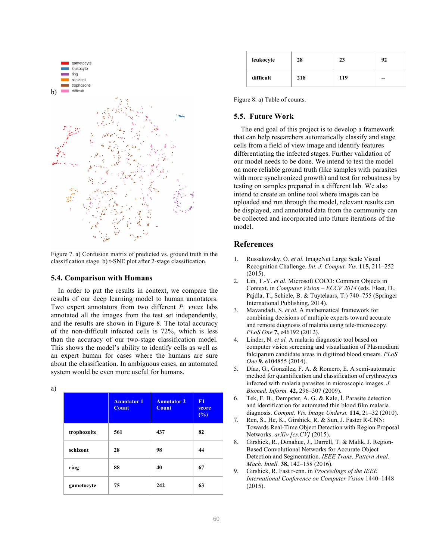

Figure 7. a) Confusion matrix of predicted vs. ground truth in the classification stage. b) t-SNE plot after 2-stage classification.

#### **5.4. Comparison with Humans**

In order to put the results in context, we compare the results of our deep learning model to human annotators. Two expert annotators from two different *P. vivax* labs annotated all the images from the test set independently, and the results are shown in Figure 8. The total accuracy of the non-difficult infected cells is 72%, which is less than the accuracy of our two-stage classification model. This shows the model's ability to identify cells as well as an expert human for cases where the humans are sure about the classification. In ambiguous cases, an automated system would be even more useful for humans.

|        | ٥       |
|--------|---------|
|        |         |
|        |         |
| ×<br>v | ۰,<br>i |

|             | <b>Annotator 1</b><br><b>Count</b> | <b>Annotator 2</b><br><b>Count</b> | F1<br>score<br>(%) |
|-------------|------------------------------------|------------------------------------|--------------------|
| trophozoite | 561                                | 437                                | 82                 |
| schizont    | 28                                 | 98                                 | 44                 |
| ring        | 88                                 | 40                                 | 67                 |
| gametocyte  | 75                                 | 242                                | 63                 |

| leukocyte | 28  | 23  | 92 |
|-----------|-----|-----|----|
| difficult | 218 | 119 | -- |

Figure 8. a) Table of counts.

## **5.5. Future Work**

The end goal of this project is to develop a framework that can help researchers automatically classify and stage cells from a field of view image and identify features differentiating the infected stages. Further validation of our model needs to be done. We intend to test the model on more reliable ground truth (like samples with parasites with more synchronized growth) and test for robustness by testing on samples prepared in a different lab. We also intend to create an online tool where images can be uploaded and run through the model, relevant results can be displayed, and annotated data from the community can be collected and incorporated into future iterations of the model.

# **References**

- 1. Russakovsky, O. *et al.* ImageNet Large Scale Visual Recognition Challenge. *Int. J. Comput. Vis.* **115,** 211–252 (2015).
- 2. Lin, T.-Y. *et al.* Microsoft COCO: Common Objects in Context. in *Computer Vision – ECCV 2014* (eds. Fleet, D., Pajdla, T., Schiele, B. & Tuytelaars, T.) 740–755 (Springer International Publishing, 2014).
- 3. Mavandadi, S. *et al.* A mathematical framework for combining decisions of multiple experts toward accurate and remote diagnosis of malaria using tele-microscopy. *PLoS One* **7,** e46192 (2012).
- Linder, N. *et al.* A malaria diagnostic tool based on computer vision screening and visualization of Plasmodium falciparum candidate areas in digitized blood smears. *PLoS One* **9,** e104855 (2014).
- 5. Díaz, G., González, F. A. & Romero, E. A semi-automatic method for quantification and classification of erythrocytes infected with malaria parasites in microscopic images. *J. Biomed. Inform.* **42,** 296–307 (2009).
- 6. Tek, F. B., Dempster, A. G. & Kale, İ. Parasite detection and identification for automated thin blood film malaria diagnosis. *Comput. Vis. Image Underst.* **114,** 21–32 (2010).
- 7. Ren, S., He, K., Girshick, R. & Sun, J. Faster R-CNN: Towards Real-Time Object Detection with Region Proposal Networks. *arXiv [cs.CV]* (2015).
- 8. Girshick, R., Donahue, J., Darrell, T. & Malik, J. Region-Based Convolutional Networks for Accurate Object Detection and Segmentation. *IEEE Trans. Pattern Anal. Mach. Intell.* **38,** 142–158 (2016).
- 9. Girshick, R. Fast r-cnn. in *Proceedings of the IEEE International Conference on Computer Vision* 1440–1448 (2015).